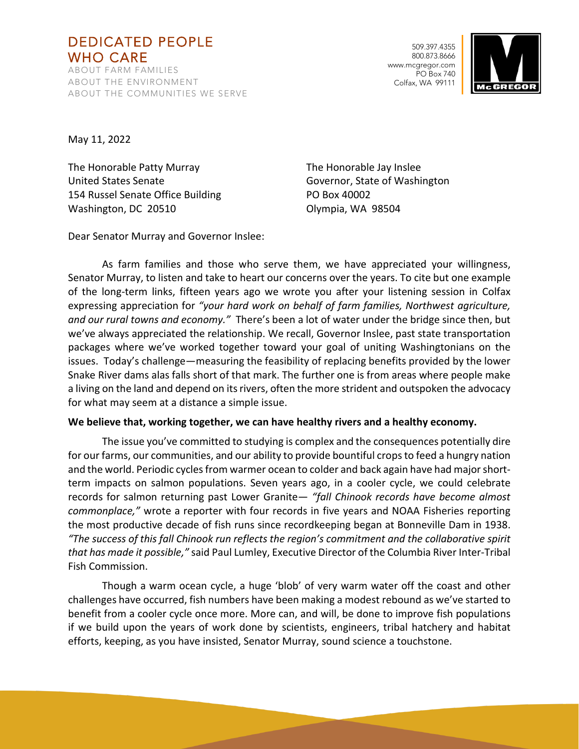# DEDICATED PEOPLE WHO CARE

ABOUT FARM FAMILIES ABOUT THE ENVIRONMENT ABOUT THE COMMUNITIES WE SERVE

509.397.4355 800.873.8666 www.mcgregor.com PO Box 740 Colfax, WA 99111



May 11, 2022

The Honorable Patty Murray The Honorable Jay Inslee United States Senate Governor, State of Washington 154 Russel Senate Office Building PO Box 40002 Washington, DC 20510 **Olympia**, WA 98504

Dear Senator Murray and Governor Inslee:

As farm families and those who serve them, we have appreciated your willingness, Senator Murray, to listen and take to heart our concerns over the years. To cite but one example of the long-term links, fifteen years ago we wrote you after your listening session in Colfax expressing appreciation for *"your hard work on behalf of farm families, Northwest agriculture, and our rural towns and economy."* There's been a lot of water under the bridge since then, but we've always appreciated the relationship. We recall, Governor Inslee, past state transportation packages where we've worked together toward your goal of uniting Washingtonians on the issues. Today's challenge—measuring the feasibility of replacing benefits provided by the lower Snake River dams alas falls short of that mark. The further one is from areas where people make a living on the land and depend on its rivers, often the more strident and outspoken the advocacy for what may seem at a distance a simple issue.

## **We believe that, working together, we can have healthy rivers and a healthy economy.**

The issue you've committed to studying is complex and the consequences potentially dire for our farms, our communities, and our ability to provide bountiful crops to feed a hungry nation and the world. Periodic cycles from warmer ocean to colder and back again have had major shortterm impacts on salmon populations. Seven years ago, in a cooler cycle, we could celebrate records for salmon returning past Lower Granite— *"fall Chinook records have become almost commonplace,"* wrote a reporter with four records in five years and NOAA Fisheries reporting the most productive decade of fish runs since recordkeeping began at Bonneville Dam in 1938. *"The success of this fall Chinook run reflects the region's commitment and the collaborative spirit that has made it possible,"* said Paul Lumley, Executive Director of the Columbia River Inter-Tribal Fish Commission.

Though a warm ocean cycle, a huge 'blob' of very warm water off the coast and other challenges have occurred, fish numbers have been making a modest rebound as we've started to benefit from a cooler cycle once more. More can, and will, be done to improve fish populations if we build upon the years of work done by scientists, engineers, tribal hatchery and habitat efforts, keeping, as you have insisted, Senator Murray, sound science a touchstone.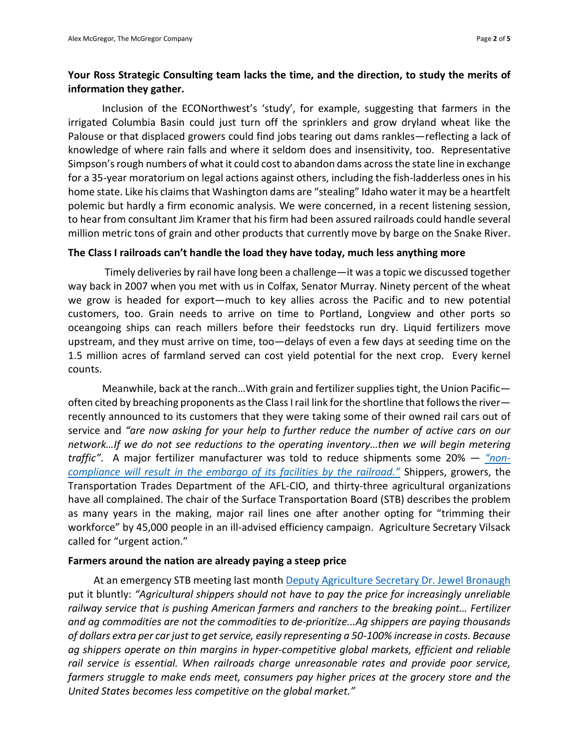# **Your Ross Strategic Consulting team lacks the time, and the direction, to study the merits of information they gather.**

Inclusion of the ECONorthwest's 'study', for example, suggesting that farmers in the irrigated Columbia Basin could just turn off the sprinklers and grow dryland wheat like the Palouse or that displaced growers could find jobs tearing out dams rankles—reflecting a lack of knowledge of where rain falls and where it seldom does and insensitivity, too. Representative Simpson's rough numbers of what it could cost to abandon dams across the state line in exchange for a 35-year moratorium on legal actions against others, including the fish-ladderless ones in his home state. Like his claims that Washington dams are "stealing" Idaho water it may be a heartfelt polemic but hardly a firm economic analysis. We were concerned, in a recent listening session, to hear from consultant Jim Kramer that his firm had been assured railroads could handle several million metric tons of grain and other products that currently move by barge on the Snake River.

## **The Class I railroads can't handle the load they have today, much less anything more**

Timely deliveries by rail have long been a challenge—it was a topic we discussed together way back in 2007 when you met with us in Colfax, Senator Murray. Ninety percent of the wheat we grow is headed for export—much to key allies across the Pacific and to new potential customers, too. Grain needs to arrive on time to Portland, Longview and other ports so oceangoing ships can reach millers before their feedstocks run dry. Liquid fertilizers move upstream, and they must arrive on time, too—delays of even a few days at seeding time on the 1.5 million acres of farmland served can cost yield potential for the next crop. Every kernel counts.

Meanwhile, back at the ranch…With grain and fertilizer supplies tight, the Union Pacific often cited by breaching proponents as the Class I rail link for the shortline that follows the river recently announced to its customers that they were taking some of their owned rail cars out of service and *"are now asking for your help to further reduce the number of active cars on our network…If we do not see reductions to the operating inventory…then we will begin metering traffic"*. A major fertilizer manufacturer was told to reduce shipments some 20% — *["non](https://www.cfindustries.com/newsroom/2022/union-pacific-shipping-restrictions)[compliance will result in the embargo of its facilities by the railroad."](https://www.cfindustries.com/newsroom/2022/union-pacific-shipping-restrictions)* Shippers, growers, the Transportation Trades Department of the AFL-CIO, and thirty-three agricultural organizations have all complained. The chair of the Surface Transportation Board (STB) describes the problem as many years in the making, major rail lines one after another opting for "trimming their workforce" by 45,000 people in an ill-advised efficiency campaign. Agriculture Secretary Vilsack called for "urgent action."

## **Farmers around the nation are already paying a steep price**

At an emergency STB meeting last month [Deputy Agriculture Secretary Dr. Jewel Bronaugh](https://dcms-external.s3.amazonaws.com/DCMS_External_PROD/1651067322092/304441.pdf) put it bluntly: *"Agricultural shippers should not have to pay the price for increasingly unreliable railway service that is pushing American farmers and ranchers to the breaking point… Fertilizer and ag commodities are not the commodities to de-prioritize...Ag shippers are paying thousands of dollars extra per car just to get service, easily representing a 50-100% increase in costs. Because ag shippers operate on thin margins in hyper-competitive global markets, efficient and reliable rail service is essential. When railroads charge unreasonable rates and provide poor service, farmers struggle to make ends meet, consumers pay higher prices at the grocery store and the United States becomes less competitive on the global market."*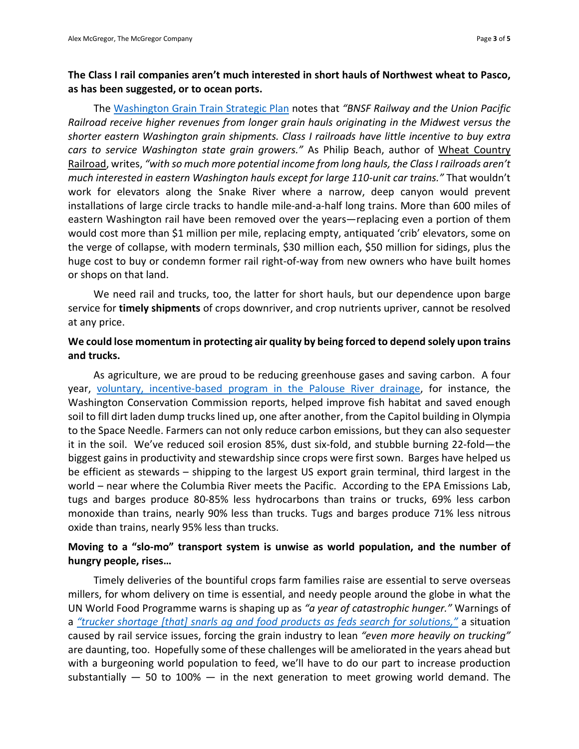## **The Class I rail companies aren't much interested in short hauls of Northwest wheat to Pasco, as has been suggested, or to ocean ports.**

The [Washington Grain Train Strategic Plan](https://wsdot.wa.gov/sites/default/files/2021-10/Nov-2017-Grain-Train-2017-2027-Strategic-Plan.pdf) notes that *"BNSF Railway and the Union Pacific Railroad receive higher revenues from longer grain hauls originating in the Midwest versus the shorter eastern Washington grain shipments. Class I railroads have little incentive to buy extra cars to service Washington state grain growers."* As Philip Beach, author of Wheat Country Railroad, writes, *"with so much more potential income from long hauls, the Class I railroads aren't much interested in eastern Washington hauls except for large 110-unit car trains."* That wouldn't work for elevators along the Snake River where a narrow, deep canyon would prevent installations of large circle tracks to handle mile-and-a-half long trains. More than 600 miles of eastern Washington rail have been removed over the years—replacing even a portion of them would cost more than \$1 million per mile, replacing empty, antiquated 'crib' elevators, some on the verge of collapse, with modern terminals, \$30 million each, \$50 million for sidings, plus the huge cost to buy or condemn former rail right-of-way from new owners who have built homes or shops on that land.

We need rail and trucks, too, the latter for short hauls, but our dependence upon barge service for **timely shipments** of crops downriver, and crop nutrients upriver, cannot be resolved at any price.

## **We could lose momentum in protecting air quality by being forced to depend solely upon trains and trucks.**

As agriculture, we are proud to be reducing greenhouse gases and saving carbon. A four year, [voluntary, incentive-based program in the Palouse River drainage,](https://www.palousecd.org/rcpp) for instance, the Washington Conservation Commission reports, helped improve fish habitat and saved enough soil to fill dirt laden dump trucks lined up, one after another, from the Capitol building in Olympia to the Space Needle. Farmers can not only reduce carbon emissions, but they can also sequester it in the soil. We've reduced soil erosion 85%, dust six-fold, and stubble burning 22-fold—the biggest gains in productivity and stewardship since crops were first sown. Barges have helped us be efficient as stewards – shipping to the largest US export grain terminal, third largest in the world – near where the Columbia River meets the Pacific. According to the EPA Emissions Lab, tugs and barges produce 80-85% less hydrocarbons than trains or trucks, 69% less carbon monoxide than trains, nearly 90% less than trucks. Tugs and barges produce 71% less nitrous oxide than trains, nearly 95% less than trucks.

## **Moving to a "slo-mo" transport system is unwise as world population, and the number of hungry people, rises…**

Timely deliveries of the bountiful crops farm families raise are essential to serve overseas millers, for whom delivery on time is essential, and needy people around the globe in what the UN World Food Programme warns is shaping up as *"a year of catastrophic hunger."* Warnings of a *["trucker shortage \[that\] snarls ag and food products as feds search for solutions,"](https://www.agri-pulse.com/articles/17543-trucker-shortage-snarls-ag-products-as-lawmakers-search-for-relief)* a situation caused by rail service issues, forcing the grain industry to lean *"even more heavily on trucking"* are daunting, too. Hopefully some of these challenges will be ameliorated in the years ahead but with a burgeoning world population to feed, we'll have to do our part to increase production substantially  $-$  50 to 100%  $-$  in the next generation to meet growing world demand. The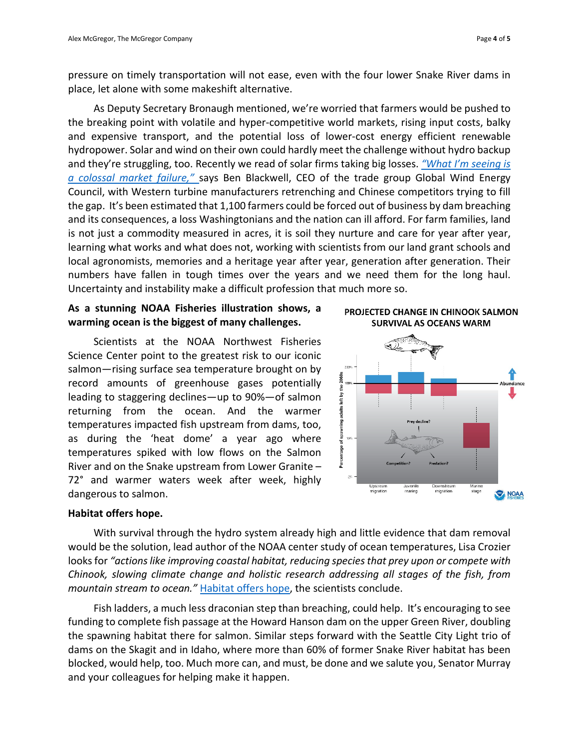pressure on timely transportation will not ease, even with the four lower Snake River dams in place, let alone with some makeshift alternative.

As Deputy Secretary Bronaugh mentioned, we're worried that farmers would be pushed to the breaking point with volatile and hyper-competitive world markets, rising input costs, balky and expensive transport, and the potential loss of lower-cost energy efficient renewable hydropower. Solar and wind on their own could hardly meet the challenge without hydro backup and they're struggling, too. Recently we read of solar firms taking big losses. *["What I'm seeing is](https://www.seattletimes.com/business/wind-powers-colossal-market-failure-threatens-climate-fight/)  [a colossal market failure,"](https://www.seattletimes.com/business/wind-powers-colossal-market-failure-threatens-climate-fight/)* says Ben Blackwell, CEO of the trade group Global Wind Energy Council, with Western turbine manufacturers retrenching and Chinese competitors trying to fill the gap. It's been estimated that 1,100 farmers could be forced out of business by dam breaching and its consequences, a loss Washingtonians and the nation can ill afford. For farm families, land is not just a commodity measured in acres, it is soil they nurture and care for year after year, learning what works and what does not, working with scientists from our land grant schools and local agronomists, memories and a heritage year after year, generation after generation. Their numbers have fallen in tough times over the years and we need them for the long haul. Uncertainty and instability make a difficult profession that much more so.

## **As a stunning NOAA Fisheries illustration shows, a warming ocean is the biggest of many challenges.**

Scientists at the NOAA Northwest Fisheries Science Center point to the greatest risk to our iconic salmon—rising surface sea temperature brought on by record amounts of greenhouse gases potentially leading to staggering declines—up to 90%—of salmon returning from the ocean. And the warmer temperatures impacted fish upstream from dams, too, as during the 'heat dome' a year ago where temperatures spiked with low flows on the Salmon River and on the Snake upstream from Lower Granite – 72° and warmer waters week after week, highly dangerous to salmon.





## **Habitat offers hope.**

With survival through the hydro system already high and little evidence that dam removal would be the solution, lead author of the NOAA center study of ocean temperatures, Lisa Crozier looks for *"actions like improving coastal habitat, reducing species that prey upon or compete with Chinook, slowing climate change and holistic research addressing all stages of the fish, from mountain stream to ocean."* [Habitat offers hope,](https://www.nature.com/articles/s42003-021-01734-w) the scientists conclude.

Fish ladders, a much less draconian step than breaching, could help. It's encouraging to see funding to complete fish passage at the Howard Hanson dam on the upper Green River, doubling the spawning habitat there for salmon. Similar steps forward with the Seattle City Light trio of dams on the Skagit and in Idaho, where more than 60% of former Snake River habitat has been blocked, would help, too. Much more can, and must, be done and we salute you, Senator Murray and your colleagues for helping make it happen.